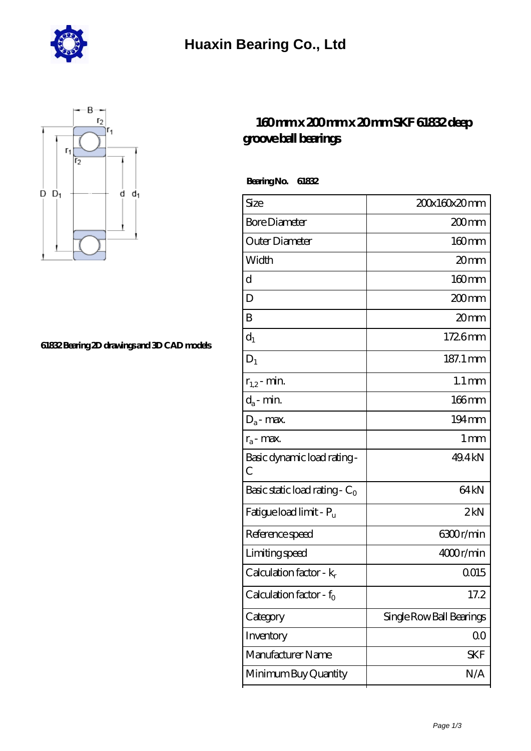



## **[61832 Bearing 2D drawings and 3D CAD models](https://m.hurtwoodmedia.com/pic-4191.html)**

## **[160 mm x 200 mm x 20 mm SKF 61832 deep](https://m.hurtwoodmedia.com/ar-4191-skf-61832-deep-groove-ball-bearings.html) [groove ball bearings](https://m.hurtwoodmedia.com/ar-4191-skf-61832-deep-groove-ball-bearings.html)**

 **Bearing No. 61832**

| Size                             | 200x160x20mm             |
|----------------------------------|--------------------------|
| <b>Bore Diameter</b>             | 200mm                    |
| Outer Diameter                   | $160$ mm                 |
| Width                            | 20mm                     |
| d                                |                          |
|                                  | 160mm                    |
| D                                | $200$ mm                 |
| B                                | 20mm                     |
| $d_1$                            | 1726mm                   |
| $D_1$                            | 187.1 mm                 |
| $r_{1,2}$ - min.                 | $1.1 \,\mathrm{mm}$      |
| $d_a$ - min.                     | $166$ mm                 |
| $D_a$ - max.                     | $194 \,\mathrm{mm}$      |
| $r_a$ - max.                     | $1 \,\mathrm{mm}$        |
| Basic dynamic load rating-<br>С  | 49.4 kN                  |
| Basic static load rating - $C_0$ | 64 <sub>kN</sub>         |
| Fatigue load limit - Pu          | 2kN                      |
| Reference speed                  | 6300r/min                |
| Limiting speed                   | 4000r/min                |
| Calculation factor - $k_r$       | 0015                     |
| Calculation factor - $f_0$       | 17.2                     |
| Category                         | Single Row Ball Bearings |
| Inventory                        | Q0                       |
| Manufacturer Name                | <b>SKF</b>               |
| Minimum Buy Quantity             | N/A                      |
|                                  |                          |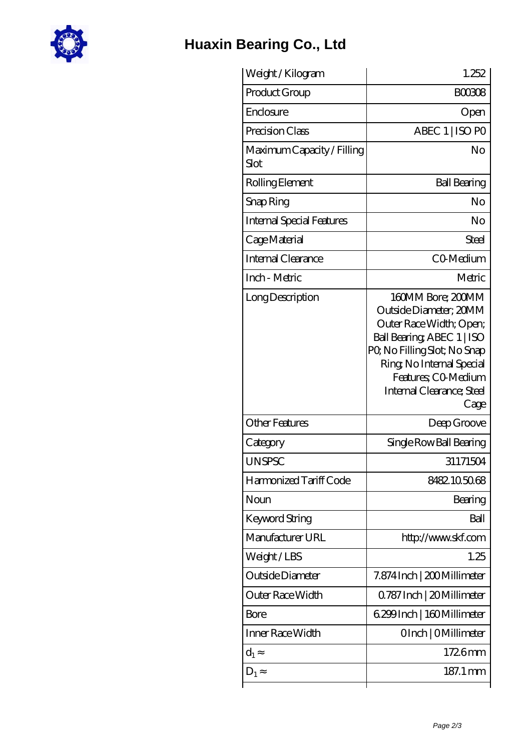

## **[Huaxin Bearing Co., Ltd](https://m.hurtwoodmedia.com)**

| Weight / Kilogram                  | 1.252                                                                                                                                                                                                                       |
|------------------------------------|-----------------------------------------------------------------------------------------------------------------------------------------------------------------------------------------------------------------------------|
| Product Group                      | <b>BOO308</b>                                                                                                                                                                                                               |
| Enclosure                          | Open                                                                                                                                                                                                                        |
| Precision Class                    | ABEC 1   ISO PO                                                                                                                                                                                                             |
| Maximum Capacity / Filling<br>Slot | No                                                                                                                                                                                                                          |
| Rolling Element                    | <b>Ball Bearing</b>                                                                                                                                                                                                         |
| Snap Ring                          | No                                                                                                                                                                                                                          |
| <b>Internal Special Features</b>   | No                                                                                                                                                                                                                          |
| Cage Material                      | Steel                                                                                                                                                                                                                       |
| Internal Clearance                 | CO-Medium                                                                                                                                                                                                                   |
| Inch - Metric                      | Metric                                                                                                                                                                                                                      |
| Long Description                   | 160MM Bore; 200MM<br>Outside Diameter; 20MM<br>Outer Race Width; Open;<br>Ball Bearing ABEC 1   ISO<br>PQ No Filling Slot; No Snap<br>Ring, No Internal Special<br>Features; CO-Medium<br>Internal Clearance; Steel<br>Cage |
| <b>Other Features</b>              | Deep Groove                                                                                                                                                                                                                 |
| Category                           | Single Row Ball Bearing                                                                                                                                                                                                     |
| <b>UNSPSC</b>                      | 31171504                                                                                                                                                                                                                    |
| Harmonized Tariff Code             | 8482105068                                                                                                                                                                                                                  |
| Noun                               | Bearing                                                                                                                                                                                                                     |
| Keyword String                     | Ball                                                                                                                                                                                                                        |
| Manufacturer URL                   | http://www.skf.com                                                                                                                                                                                                          |
| Weight/LBS                         | 1.25                                                                                                                                                                                                                        |
| Outside Diameter                   | 7.874 Inch   200 Millimeter                                                                                                                                                                                                 |
| Outer Race Width                   | Q787 Inch   20 Millimeter                                                                                                                                                                                                   |
| Bore                               | 6.299 Inch   160 Millimeter                                                                                                                                                                                                 |
| Inner Race Width                   | OInch   OMillimeter                                                                                                                                                                                                         |
| $d_1$                              | 1726mm                                                                                                                                                                                                                      |
| $D_1$                              | 187.1 mm                                                                                                                                                                                                                    |
|                                    |                                                                                                                                                                                                                             |